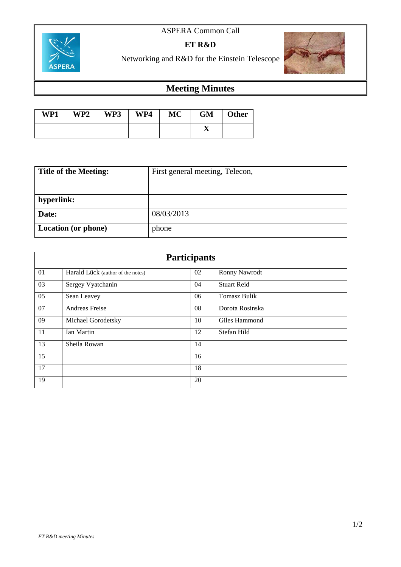## ASPERA Common Call



**ET R&D**

Networking and R&D for the Einstein Telescope



## **Meeting Minutes**

| WP1 | WP2 | WP3 | WP4 | <b>MC</b> | <b>GM</b> | <b>Other</b> |
|-----|-----|-----|-----|-----------|-----------|--------------|
|     |     |     |     |           |           |              |

| <b>Title of the Meeting:</b> | First general meeting, Telecon, |  |  |
|------------------------------|---------------------------------|--|--|
|                              |                                 |  |  |
| hyperlink:                   |                                 |  |  |
| Date:                        | 08/03/2013                      |  |  |
| Location (or phone)          | phone                           |  |  |

| <b>Participants</b> |                                   |    |                     |  |  |
|---------------------|-----------------------------------|----|---------------------|--|--|
| 01                  | Harald Lück (author of the notes) | 02 | Ronny Nawrodt       |  |  |
| 03                  | Sergey Vyatchanin                 | 04 | <b>Stuart Reid</b>  |  |  |
| 05                  | Sean Leavey                       | 06 | <b>Tomasz Bulik</b> |  |  |
| 07                  | Andreas Freise                    | 08 | Dorota Rosinska     |  |  |
| 09                  | Michael Gorodetsky                | 10 | Giles Hammond       |  |  |
| 11                  | Ian Martin                        | 12 | Stefan Hild         |  |  |
| 13                  | Sheila Rowan                      | 14 |                     |  |  |
| 15                  |                                   | 16 |                     |  |  |
| 17                  |                                   | 18 |                     |  |  |
| 19                  |                                   | 20 |                     |  |  |